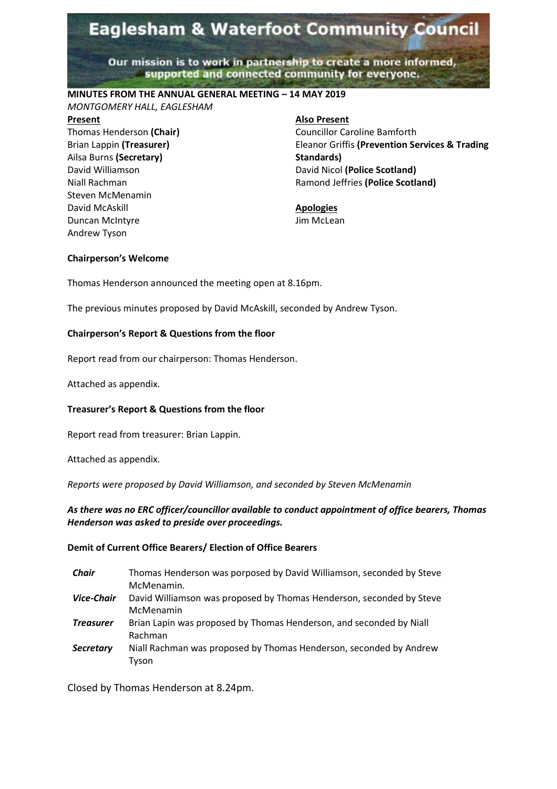# **Eaglesham & Waterfoot Community Council**

Our mission is to work in partnership to create a more informed, supported and connected community for everyone.

## **MINUTES FROM THE ANNUAL GENERAL MEETING – 14 MAY 2019**

*MONTGOMERY HALL, EAGLESHAM*

#### **Present**

Thomas Henderson **(Chair)** Brian Lappin **(Treasurer)** Ailsa Burns **(Secretary)** David Williamson Niall Rachman Steven McMenamin David McAskill Duncan McIntyre Andrew Tyson

**Also Present** Councillor Caroline Bamforth Eleanor Griffis **(Prevention Services & Trading Standards)** David Nicol **(Police Scotland)** Ramond Jeffries **(Police Scotland)**

#### **Apologies** Jim McLean

#### **Chairperson's Welcome**

Thomas Henderson announced the meeting open at 8.16pm.

The previous minutes proposed by David McAskill, seconded by Andrew Tyson.

## **Chairperson's Report & Questions from the floor**

Report read from our chairperson: Thomas Henderson.

Attached as appendix.

## **Treasurer's Report & Questions from the floor**

Report read from treasurer: Brian Lappin.

Attached as appendix.

*Reports were proposed by David Williamson, and seconded by Steven McMenamin* 

## *As there was no ERC officer/councillor available to conduct appointment of office bearers, Thomas Henderson was asked to preside over proceedings.*

## **Demit of Current Office Bearers/ Election of Office Bearers**

*Chair* Thomas Henderson was porposed by David Williamson, seconded by Steve McMenamin. *Vice-Chair* David Williamson was proposed by Thomas Henderson, seconded by Steve McMenamin *Treasurer* Brian Lapin was proposed by Thomas Henderson, and seconded by Niall Rachman *Secretary* Niall Rachman was proposed by Thomas Henderson, seconded by Andrew Tyson

Closed by Thomas Henderson at 8.24pm.